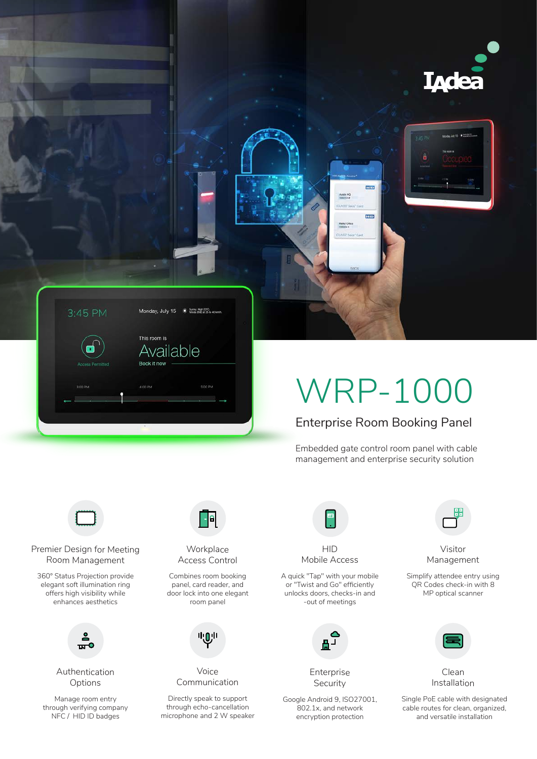



# WRP-1000

m<sub>m</sub>

 $\overline{\text{min}}$ 

Enterprise Room Booking Panel

Embedded gate control room panel with cable management and enterprise security solution



Premier Design for Meeting Room Management

360° Status Projection provide elegant soft illumination ring offers high visibility while enhances aesthetics



Authentication Options

Manage room entry through verifying company NFC / HID ID badges



**Workplace** Access Control

Combines room booking panel, card reader, and door lock into one elegant room panel



Voice Communication

Directly speak to support through echo-cancellation microphone and 2 W speaker



**HID** Mobile Access

A quick "Tap" with your mobile or "Twist and Go" efficiently unlocks doors, checks-in and -out of meetings



Enterprise Security

Google Android 9, ISO27001, 802.1x, and network encryption protection



Visitor Management

Simplify attendee entry using QR Codes check-in with 8 MP optical scanner



Clean Installation

Single PoE cable with designated cable routes for clean, organized, and versatile installation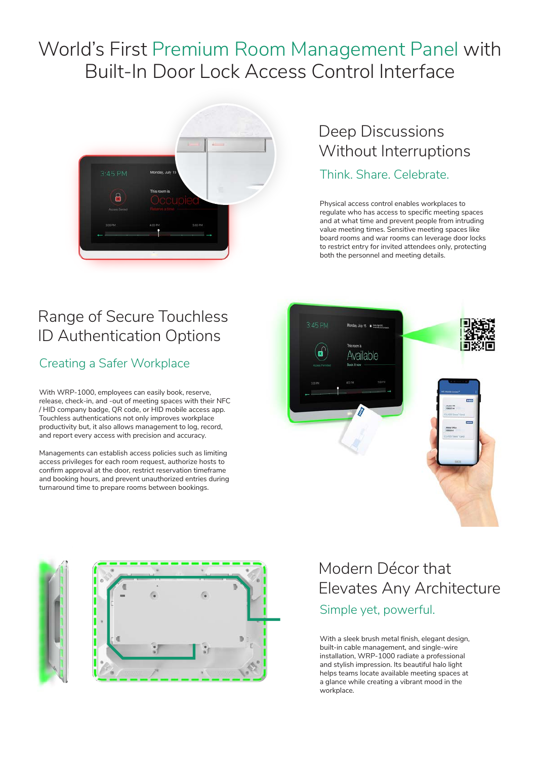# World's First Premium Room Management Panel with Built-In Door Lock Access Control Interface



### Deep Discussions Without Interruptions

### Think. Share. Celebrate.

Physical access control enables workplaces to regulate who has access to specific meeting spaces and at what time and prevent people from intruding value meeting times. Sensitive meeting spaces like board rooms and war rooms can leverage door locks to restrict entry for invited attendees only, protecting both the personnel and meeting details.

# Range of Secure Touchless ID Authentication Options

### Creating a Safer Workplace

With WRP-1000, employees can easily book, reserve, release, check-in, and -out of meeting spaces with their NFC / HID company badge, QR code, or HID mobile access app. Touchless authentications not only improves workplace productivity but, it also allows management to log, record, and report every access with precision and accuracy.

Managements can establish access policies such as limiting access privileges for each room request, authorize hosts to confirm approval at the door, restrict reservation timeframe and booking hours, and prevent unauthorized entries during turnaround time to prepare rooms between bookings.





### Modern Décor that Elevates Any Architecture Simple yet, powerful.

With a sleek brush metal finish, elegant design, built-in cable management, and single-wire installation, WRP-1000 radiate a professional and stylish impression. Its beautiful halo light helps teams locate available meeting spaces at a glance while creating a vibrant mood in the workplace.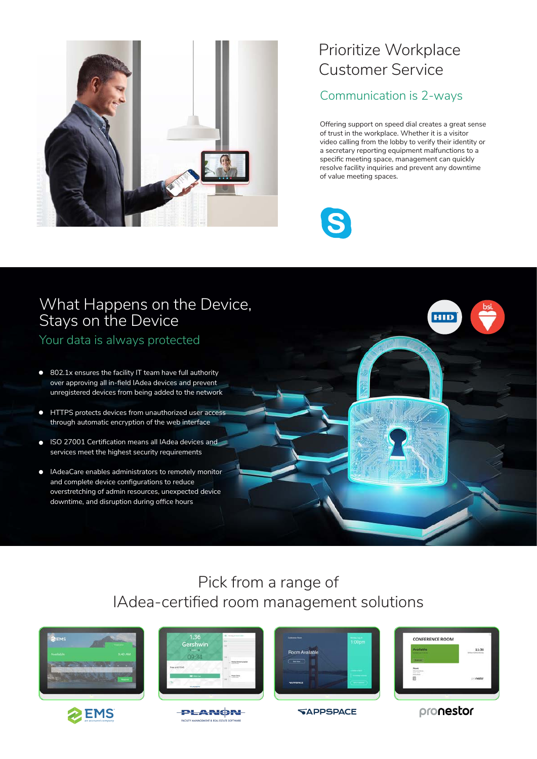

### Prioritize Workplace Customer Service

### Communication is 2-ways

Offering support on speed dial creates a great sense of trust in the workplace. Whether it is a visitor video calling from the lobby to verify their identity or a secretary reporting equipment malfunctions to a specific meeting space, management can quickly resolve facility inquiries and prevent any downtime of value meeting spaces.



### What Happens on the Device, Stays on the Device

Your data is always protected

- 802.1x ensures the facility IT team have full authority  $\bullet$ over approving all in-field IAdea devices and prevent unregistered devices from being added to the network
- $\bullet$ HTTPS protects devices from unauthorized user access through automatic encryption of the web interface
- ISO 27001 Certification means all IAdea devices and services meet the highest security requirements
- IAdeaCare enables administrators to remotely monitor  $\bullet$ and complete device configurations to reduce overstretching of admin resources, unexpected device downtime, and disruption during office hours

### Pick from a range of IAdea-certified room management solutions











| Available                                  | 11:36<br>DOWNER, JAPAN Mice |
|--------------------------------------------|-----------------------------|
|                                            | <b>REAL AND</b>             |
| Next<br>o i                                |                             |
| <b>COLLEGE</b><br><b>Bastier Band</b><br>田 | nestor                      |

**HID** 

**SAPPSPACE** 

pronestor